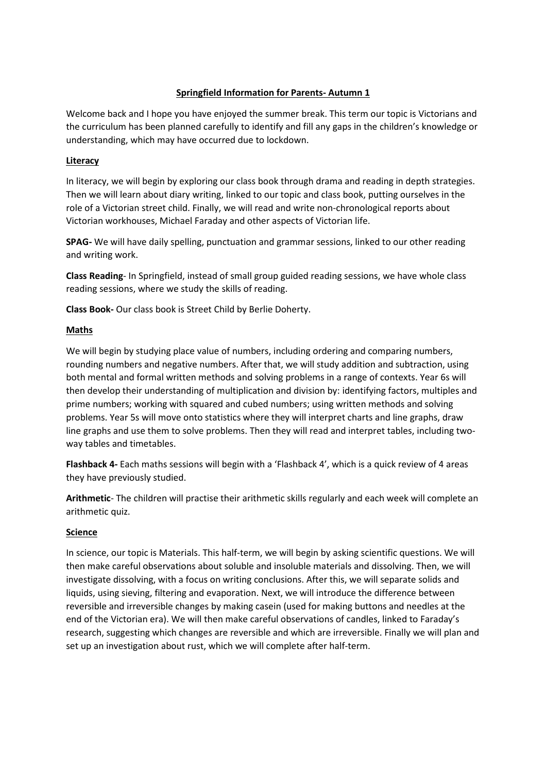### **Springfield Information for Parents- Autumn 1**

Welcome back and I hope you have enjoyed the summer break. This term our topic is Victorians and the curriculum has been planned carefully to identify and fill any gaps in the children's knowledge or understanding, which may have occurred due to lockdown.

### **Literacy**

In literacy, we will begin by exploring our class book through drama and reading in depth strategies. Then we will learn about diary writing, linked to our topic and class book, putting ourselves in the role of a Victorian street child. Finally, we will read and write non-chronological reports about Victorian workhouses, Michael Faraday and other aspects of Victorian life.

**SPAG-** We will have daily spelling, punctuation and grammar sessions, linked to our other reading and writing work.

**Class Reading**- In Springfield, instead of small group guided reading sessions, we have whole class reading sessions, where we study the skills of reading.

**Class Book-** Our class book is Street Child by Berlie Doherty.

### **Maths**

We will begin by studying place value of numbers, including ordering and comparing numbers, rounding numbers and negative numbers. After that, we will study addition and subtraction, using both mental and formal written methods and solving problems in a range of contexts. Year 6s will then develop their understanding of multiplication and division by: identifying factors, multiples and prime numbers; working with squared and cubed numbers; using written methods and solving problems. Year 5s will move onto statistics where they will interpret charts and line graphs, draw line graphs and use them to solve problems. Then they will read and interpret tables, including twoway tables and timetables.

**Flashback 4-** Each maths sessions will begin with a 'Flashback 4', which is a quick review of 4 areas they have previously studied.

**Arithmetic**- The children will practise their arithmetic skills regularly and each week will complete an arithmetic quiz.

#### **Science**

In science, our topic is Materials. This half-term, we will begin by asking scientific questions. We will then make careful observations about soluble and insoluble materials and dissolving. Then, we will investigate dissolving, with a focus on writing conclusions. After this, we will separate solids and liquids, using sieving, filtering and evaporation. Next, we will introduce the difference between reversible and irreversible changes by making casein (used for making buttons and needles at the end of the Victorian era). We will then make careful observations of candles, linked to Faraday's research, suggesting which changes are reversible and which are irreversible. Finally we will plan and set up an investigation about rust, which we will complete after half-term.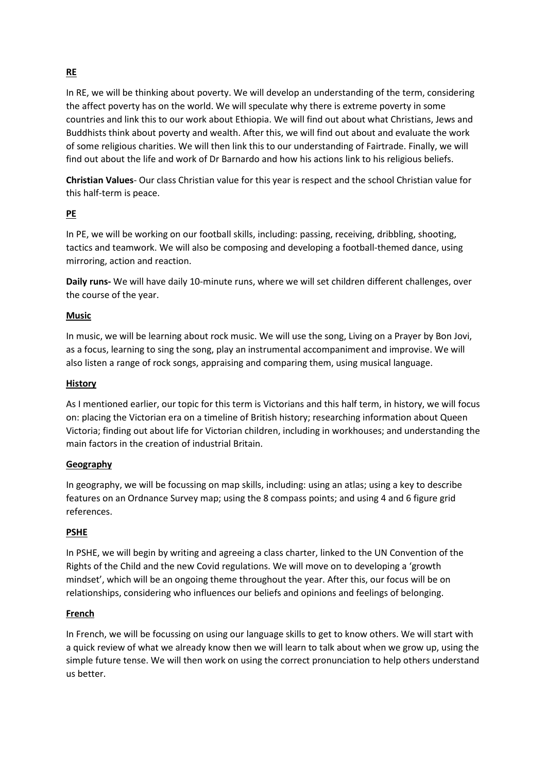# **RE**

In RE, we will be thinking about poverty. We will develop an understanding of the term, considering the affect poverty has on the world. We will speculate why there is extreme poverty in some countries and link this to our work about Ethiopia. We will find out about what Christians, Jews and Buddhists think about poverty and wealth. After this, we will find out about and evaluate the work of some religious charities. We will then link this to our understanding of Fairtrade. Finally, we will find out about the life and work of Dr Barnardo and how his actions link to his religious beliefs.

**Christian Values**- Our class Christian value for this year is respect and the school Christian value for this half-term is peace.

### **PE**

In PE, we will be working on our football skills, including: passing, receiving, dribbling, shooting, tactics and teamwork. We will also be composing and developing a football-themed dance, using mirroring, action and reaction.

**Daily runs-** We will have daily 10-minute runs, where we will set children different challenges, over the course of the year.

### **Music**

In music, we will be learning about rock music. We will use the song, Living on a Prayer by Bon Jovi, as a focus, learning to sing the song, play an instrumental accompaniment and improvise. We will also listen a range of rock songs, appraising and comparing them, using musical language.

### **History**

As I mentioned earlier, our topic for this term is Victorians and this half term, in history, we will focus on: placing the Victorian era on a timeline of British history; researching information about Queen Victoria; finding out about life for Victorian children, including in workhouses; and understanding the main factors in the creation of industrial Britain.

### **Geography**

In geography, we will be focussing on map skills, including: using an atlas; using a key to describe features on an Ordnance Survey map; using the 8 compass points; and using 4 and 6 figure grid references.

### **PSHE**

In PSHE, we will begin by writing and agreeing a class charter, linked to the UN Convention of the Rights of the Child and the new Covid regulations. We will move on to developing a 'growth mindset', which will be an ongoing theme throughout the year. After this, our focus will be on relationships, considering who influences our beliefs and opinions and feelings of belonging.

#### **French**

In French, we will be focussing on using our language skills to get to know others. We will start with a quick review of what we already know then we will learn to talk about when we grow up, using the simple future tense. We will then work on using the correct pronunciation to help others understand us better.